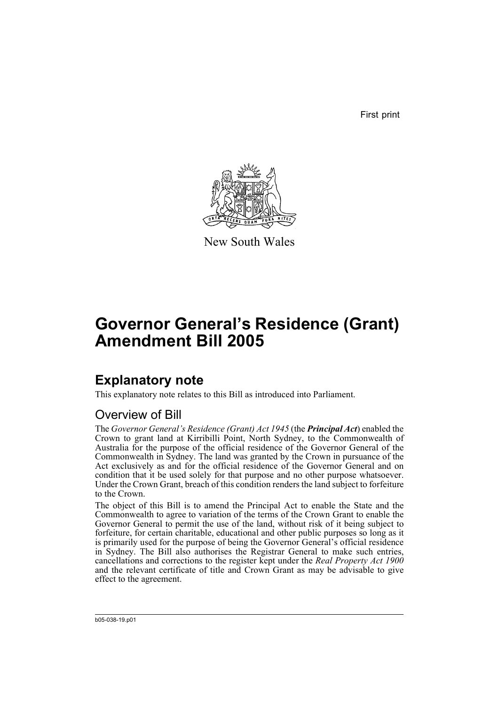First print



New South Wales

# **Governor General's Residence (Grant) Amendment Bill 2005**

## **Explanatory note**

This explanatory note relates to this Bill as introduced into Parliament.

## Overview of Bill

The *Governor General's Residence (Grant) Act 1945* (the *Principal Act*) enabled the Crown to grant land at Kirribilli Point, North Sydney, to the Commonwealth of Australia for the purpose of the official residence of the Governor General of the Commonwealth in Sydney. The land was granted by the Crown in pursuance of the Act exclusively as and for the official residence of the Governor General and on condition that it be used solely for that purpose and no other purpose whatsoever. Under the Crown Grant, breach of this condition renders the land subject to forfeiture to the Crown.

The object of this Bill is to amend the Principal Act to enable the State and the Commonwealth to agree to variation of the terms of the Crown Grant to enable the Governor General to permit the use of the land, without risk of it being subject to forfeiture, for certain charitable, educational and other public purposes so long as it is primarily used for the purpose of being the Governor General's official residence in Sydney. The Bill also authorises the Registrar General to make such entries, cancellations and corrections to the register kept under the *Real Property Act 1900* and the relevant certificate of title and Crown Grant as may be advisable to give effect to the agreement.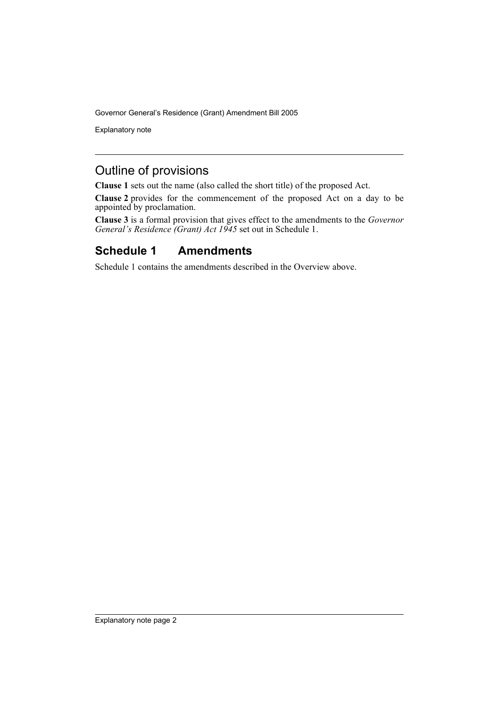Explanatory note

### Outline of provisions

**Clause 1** sets out the name (also called the short title) of the proposed Act.

**Clause 2** provides for the commencement of the proposed Act on a day to be appointed by proclamation.

**Clause 3** is a formal provision that gives effect to the amendments to the *Governor General's Residence (Grant) Act 1945* set out in Schedule 1.

## **Schedule 1 Amendments**

Schedule 1 contains the amendments described in the Overview above.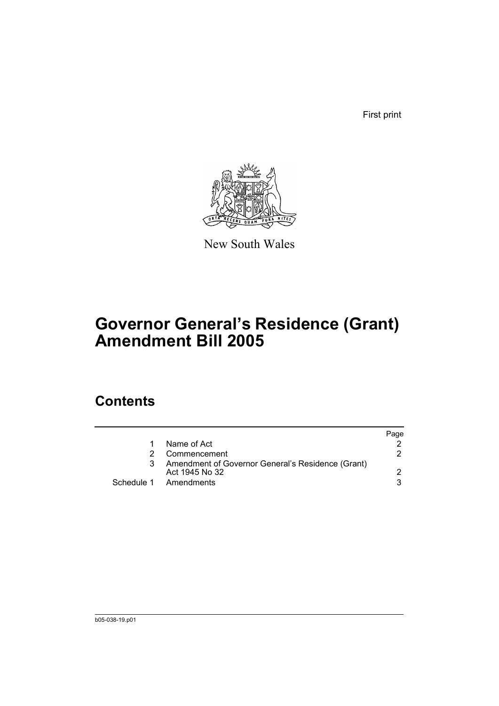First print



New South Wales

# **Governor General's Residence (Grant) Amendment Bill 2005**

## **Contents**

|   |                                                                     | Page |
|---|---------------------------------------------------------------------|------|
|   | Name of Act                                                         |      |
|   | Commencement                                                        | 2    |
| 3 | Amendment of Governor General's Residence (Grant)<br>Act 1945 No 32 |      |
|   | Schedule 1 Amendments                                               | વ    |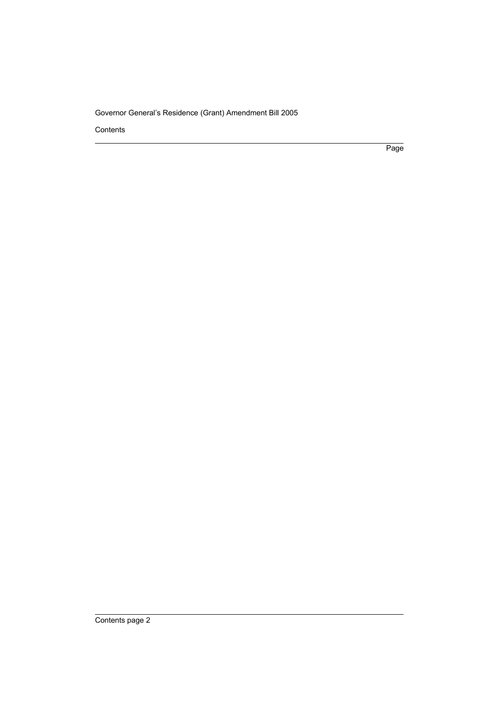Contents

Page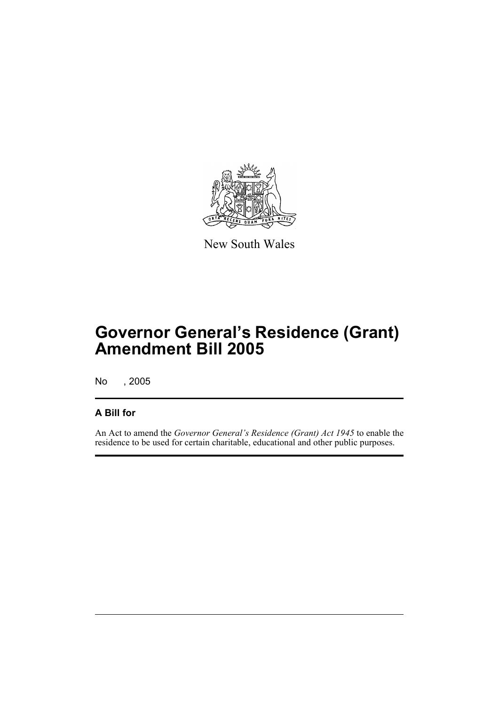

New South Wales

# **Governor General's Residence (Grant) Amendment Bill 2005**

No , 2005

### **A Bill for**

An Act to amend the *Governor General's Residence (Grant) Act 1945* to enable the residence to be used for certain charitable, educational and other public purposes.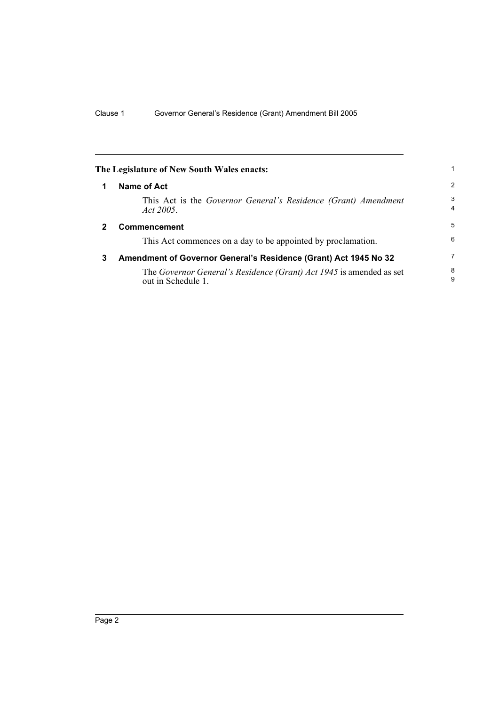<span id="page-5-2"></span><span id="page-5-1"></span><span id="page-5-0"></span>

|              | The Legislature of New South Wales enacts:                                                |                     |
|--------------|-------------------------------------------------------------------------------------------|---------------------|
|              | Name of Act                                                                               | $\overline{2}$      |
|              | This Act is the Governor General's Residence (Grant) Amendment<br>Act 2005.               | 3<br>$\overline{4}$ |
| $\mathbf{2}$ | <b>Commencement</b>                                                                       | 5                   |
|              | This Act commences on a day to be appointed by proclamation.                              | 6                   |
| 3            | Amendment of Governor General's Residence (Grant) Act 1945 No 32                          | 7                   |
|              | The Governor General's Residence (Grant) Act 1945 is amended as set<br>out in Schedule 1. | 8<br>9              |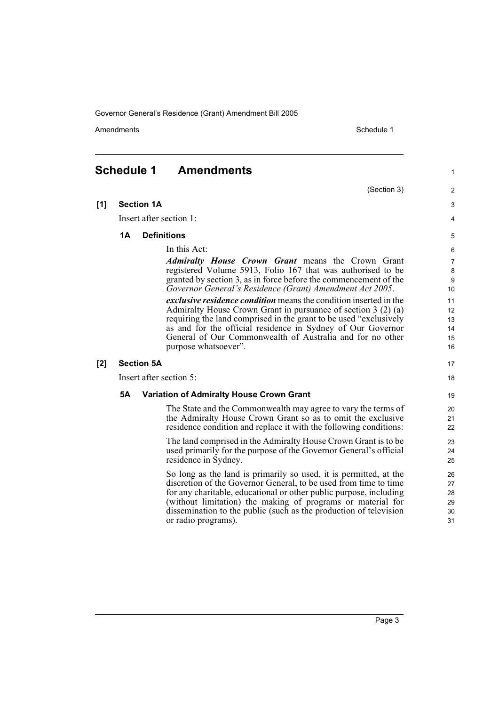Amendments **Amendments** Schedule 1

(Section 3)

### <span id="page-6-0"></span>**Schedule 1 Amendments**

**[1] Section 1A**

Insert after section 1:

#### **1A Definitions**

In this Act:

*Admiralty House Crown Grant* means the Crown Grant registered Volume 5913, Folio 167 that was authorised to be granted by section 3, as in force before the commencement of the *Governor General's Residence (Grant) Amendment Act 2005*.

*exclusive residence condition* means the condition inserted in the Admiralty House Crown Grant in pursuance of section 3 (2) (a) requiring the land comprised in the grant to be used "exclusively as and for the official residence in Sydney of Our Governor General of Our Commonwealth of Australia and for no other purpose whatsoever".

#### **[2] Section 5A**

Insert after section 5:

#### **5A Variation of Admiralty House Crown Grant**

The State and the Commonwealth may agree to vary the terms of the Admiralty House Crown Grant so as to omit the exclusive residence condition and replace it with the following conditions:

The land comprised in the Admiralty House Crown Grant is to be used primarily for the purpose of the Governor General's official residence in Sydney.

So long as the land is primarily so used, it is permitted, at the discretion of the Governor General, to be used from time to time for any charitable, educational or other public purpose, including (without limitation) the making of programs or material for dissemination to the public (such as the production of television or radio programs).

18 19

17

1

 $\overline{2}$ 3 4